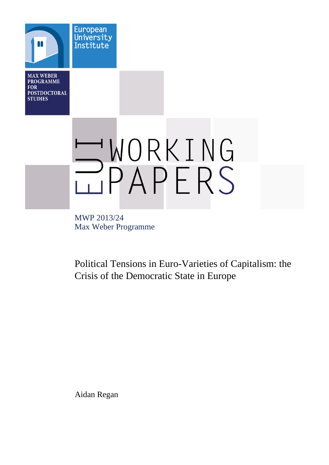**MAX WEBER PROGRAMME FOR POSTDOCTORAL STUDIES** 

**European** University Institute

WORKING

MWP 2013/24 Max Weber Programme

Political Tensions in Euro-Varieties of Capitalism: the Crisis of the Democratic State in Europe

Aidan Regan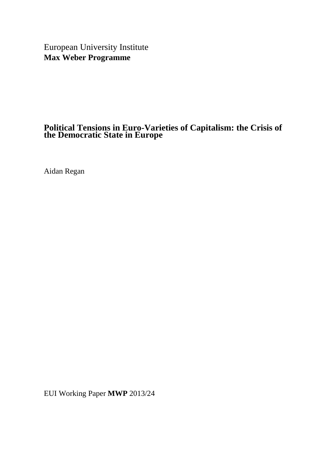European University Institute **Max Weber Programme**

# **Political Tensions in Euro-Varieties of Capitalism: the Crisis of the Democratic State in Europe**

Aidan Regan

EUI Working Paper **MWP** 2013/24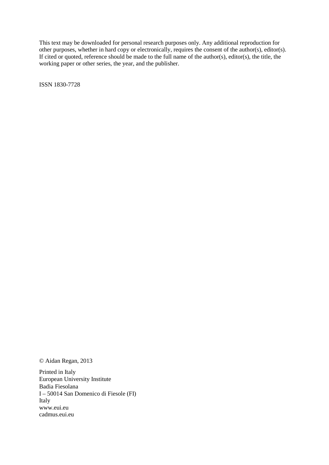This text may be downloaded for personal research purposes only. Any additional reproduction for other purposes, whether in hard copy or electronically, requires the consent of the author(s), editor(s). If cited or quoted, reference should be made to the full name of the author(s), editor(s), the title, the working paper or other series, the year, and the publisher.

ISSN 1830-7728

© Aidan Regan, 2013

Printed in Italy European University Institute Badia Fiesolana I – 50014 San Domenico di Fiesole (FI) Italy [www.eui.eu](http://www.eui.eu/) [cadmus.eui.eu](http://cadmus.eui.eu/dspace/index.jsp)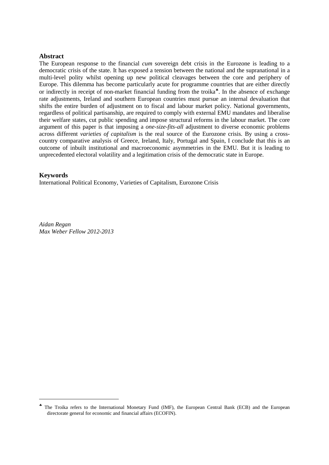#### **Abstract**

The European response to the financial *cum* sovereign debt crisis in the Eurozone is leading to a democratic crisis of the state. It has exposed a tension between the national and the supranational in a multi-level polity whilst opening up new political cleavages between the core and periphery of Europe. This dilemma has become particularly acute for programme countries that are either directly or indirectly in receipt of non-market financial funding from the troika<sup>\*</sup>. In the absence of exchange rate adjustments, Ireland and southern European countries must pursue an internal devaluation that shifts the entire burden of adjustment on to fiscal and labour market policy. National governments, regardless of political partisanship, are required to comply with external EMU mandates and liberalise their welfare states, cut public spending and impose structural reforms in the labour market. The core argument of this paper is that imposing a *one-size-fits-all* adjustment to diverse economic problems across different *varieties of capitalism* is the real source of the Eurozone crisis. By using a crosscountry comparative analysis of Greece, Ireland, Italy, Portugal and Spain, I conclude that this is an outcome of inbuilt institutional and macroeconomic asymmetries in the EMU. But it is leading to unprecedented electoral volatility and a legitimation crisis of the democratic state in Europe.

#### **Keywords**

<span id="page-4-0"></span>-

International Political Economy, Varieties of Capitalism, Eurozone Crisis

*Aidan Regan Max Weber Fellow 2012-2013*

<sup>♣</sup> The Troika refers to the International Monetary Fund (IMF), the European Central Bank (ECB) and the European directorate general for economic and financial affairs (ECOFIN).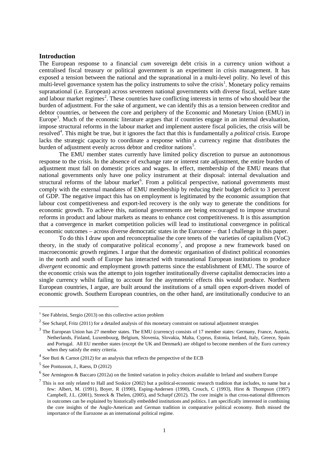#### **Introduction**

The European response to a financial *cum* sovereign debt crisis in a currency union without a centralised fiscal treasury or political government is an experiment in crisis management. It has exposed a tension between the national and the supranational in a multi-level polity. No level of this multi-level governance system has the policy instruments to solve the crisis<sup>[1](#page-4-0)</sup>. Monetary policy remains supranational (i.e. European) across seventeen national governments with diverse fiscal, welfare state and labour market regimes<sup>[2](#page-6-0)</sup>. These countries have conflicting interests in terms of who should bear the burden of adjustment. For the sake of argument, we can identify this as a tension between creditor and debtor countries, or between the core and periphery of the Economic and Monetary Union (EMU) in Europe<sup>[3](#page-6-1)</sup>. Much of the economic literature argues that if countries engage in an internal devaluation, impose structural reforms in the labour market and implement austere fiscal policies, the crisis will be resolved<sup>[4](#page-6-2)</sup>. This might be true, but it ignores the fact that this is fundamentally a *political* crisis. Europe lacks the strategic capacity to coordinate a response within a currency regime that distributes the burden of adjustment evenly across debtor and creditor nations<sup>[5](#page-6-3)</sup>.

The EMU member states currently have limited policy discretion to pursue an autonomous response to the crisis. In the absence of exchange rate or interest rate adjustment, the entire burden of adjustment must fall on domestic prices and wages. In effect, membership of the EMU means that national governments only have one policy instrument at their disposal: internal devaluation and structural reforms of the labour market<sup>[6](#page-6-4)</sup>. From a political perspective, national governments must comply with the external mandates of EMU membership by reducing their budget deficit to 3 percent of GDP. The negative impact this has on employment is legitimated by the economic assumption that labour cost competitiveness and export-led recovery is the only way to generate the conditions for economic growth. To achieve this, national governments are being encouraged to impose structural reforms in product and labour markets as means to enhance cost competitiveness. It is this assumption that a convergence in market competition policies will lead to institutional convergence in political economic outcomes – across diverse democratic states in the Eurozone – that I challenge in this paper.

To do this I draw upon and reconceptualise the core tenets of the varieties of capitalism (VoC) theory, in the study of comparative political economy<sup>[7](#page-6-5)</sup>, and propose a new framework based on macroeconomic growth regimes. I argue that the domestic organisation of distinct political economies in the north and south of Europe has interacted with transnational European institutions to produce *divergent* economic and employment growth patterns since the establishment of EMU. The source of the economic crisis was the attempt to join together institutionally diverse capitalist democracies into a single currency whilst failing to account for the asymmetric effects this would produce. Northern European countries, I argue, are built around the institutions of a small open export-driven model of economic growth. Southern European countries, on the other hand, are institutionally conducive to an

<u>.</u>

 $1$  See Fabbrini, Sergio (2013) on this collective action problem

<span id="page-6-0"></span> $2$  See Scharpf, Fritz (2011) for a detailed analysis of this monetary constraint on national adjustment strategies

<span id="page-6-1"></span> $3$  The European Union has 27 member states. The EMU (currency) consists of 17 member states: Germany, France, Austria, Netherlands, Finland, Luxembourg, Belgium, Slovenia, Slovakia, Malta, Cyprus, Estonia, Ireland, Italy, Greece, Spain and Portugal. All EU member states (except the UK and Denmark) are obliged to become members of the Euro currency when they satisfy the entry criteria.

<span id="page-6-2"></span> $4$  See Buti & Carnot (2012) for an analysis that reflects the perspective of the ECB

<span id="page-6-3"></span> $<sup>5</sup>$  See Pontusson, J., Raess, D (2012)</sup>

<span id="page-6-4"></span> $<sup>6</sup>$  See Armingeon & Baccaro (2012a) on the limited variation in policy choices available to Ireland and southern Europe</sup>

<span id="page-6-6"></span><span id="page-6-5"></span> $<sup>7</sup>$  This is not only related to Hall and Soskice (2002) but a political-economic research tradition that includes, to name but a</sup> few: Albert, M. (1991), Boyer, R (1990), Esping-Andersen (1990), Crouch, C (1993), Hirst & Thompson (1997) Campbell, J.L. (2001), Streeck & Thelen, (2005), and Scharpf (2012). The core insight is that cross-national differences in outcomes can be explained by historically embedded institutions and politics. I am specifically interested in combining the core insights of the Anglo-American and German tradition in comparative political economy. Both missed the importance of the Eurozone as an international political regime.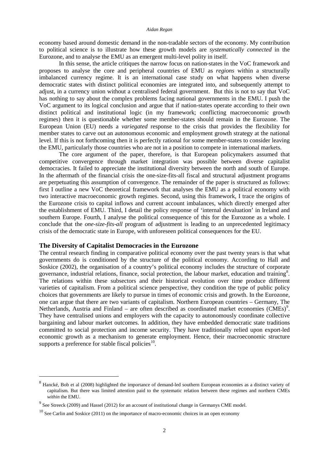economy based around domestic demand in the non-tradable sectors of the economy. My contribution to political science is to illustrate how these growth models are *systematically connected* in the Eurozone, and to analyse the EMU as an emergent multi-level polity in itself.

In this sense, the article critiques the narrow focus on nation-states in the VoC framework and proposes to analyse the core and peripheral countries of EMU as *regions* within a structurally imbalanced currency regime. It is an international case study on what happens when diverse democratic states with distinct political economies are integrated into, and subsequently attempt to adjust, in a currency union without a centralised federal government. But this is not to say that VoC has nothing to say about the complex problems facing national governments in the EMU. I push the VoC argument to its logical conclusion and argue that if nation-states operate according to their own distinct political and institutional logic (in my framework; conflicting macroeconomic growth regimes) then it is questionable whether some member-states should remain in the Eurozone. The European Union (EU) needs a *variegated* response to the crisis that provides the flexibility for member states to carve out an autonomous economic and employment growth strategy at the national level. If this is not forthcoming then it is perfectly rational for some member-states to consider leaving the EMU, particularly those countries who are not in a position to compete in international markets.

The core argument of the paper, therefore, is that European policymakers assumed that competitive convergence through market integration was possible between diverse capitalist democracies. It failed to appreciate the institutional diversity between the north and south of Europe. In the aftermath of the financial crisis the one-size-fits-all fiscal and structural adjustment programs are perpetuating this assumption of convergence. The remainder of the paper is structured as follows: first I outline a new VoC theoretical framework that analyses the EMU as a political economy with two interactive macroeconomic growth regimes. Second, using this framework, I trace the origins of the Eurozone crisis to capital inflows and current account imbalances, which directly emerged after the establishment of EMU. Third, I detail the policy response of 'internal devaluation' in Ireland and southern Europe. Fourth, I analyse the political consequence of this for the Eurozone as a whole. I conclude that the *one-size-fits-all* program of adjustment is leading to an unprecedented legitimacy crisis of the democratic state in Europe, with unforeseen political consequences for the EU.

#### **The Diversity of Capitalist Democracies in the Eurozone**

The central research finding in comparative political economy over the past twenty years is that what governments do is conditioned by the structure of the political economy. According to Hall and Soskice (2002), the organisation of a country's political economy includes the structure of corporate governance, industrial relations, finance, social protection, the labour market, education and training<sup>[8](#page-6-6)</sup>. The relations within these subsectors and their historical evolution over time produce different varieties of capitalism. From a political science perspective, they condition the type of public policy choices that governments are likely to pursue in times of economic crisis and growth. In the Eurozone, one can argue that there are two variants of capitalism. Northern European countries – Germany, The Netherlands, Austria and Finland – are often described as coordinated market economies  $(CMEs)^9$  $(CMEs)^9$ . They have centralised unions and employers with the capacity to autonomously coordinate collective bargaining and labour market outcomes. In addition, they have embedded democratic state traditions committed to social protection and income security. They have traditionally relied upon export-led economic growth as a mechanism to generate employment. Hence, their macroeconomic structure supports a preference for stable fiscal policies $10$ .

<span id="page-7-2"></span><sup>&</sup>lt;sup>8</sup> Hancké. Bob et al (2008) highlighted the importance of demand-led southern European economies as a distinct variety of capitalism. But there was limited attention paid to the systematic relation between these regimes and northern CMEs *within* the EMU.

<span id="page-7-0"></span> $9^9$  See Streeck (2009) and Hassel (2012) for an account of institutional change in Germanys CME model.

<span id="page-7-1"></span> $10$  See Carlin and Soskice (2011) on the importance of macro-economic choices in an open economy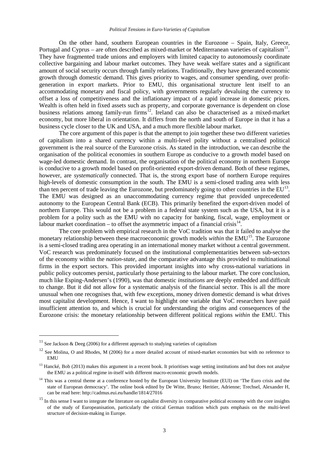On the other hand, southern European countries in the Eurozone – Spain, Italy, Greece, Portugal and Cyprus – are often described as mixed-market or Mediterranean varieties of capitalism<sup>11</sup> They have fragmented trade unions and employers with limited capacity to autonomously coordinate collective bargaining and labour market outcomes. They have weak welfare states and a significant amount of social security occurs through family relations. Traditionally, they have generated economic growth through domestic demand. This gives priority to wages, and consumer spending, over profitgeneration in export markets. Prior to EMU, this organisational structure lent itself to an accommodating monetary and fiscal policy, with governments regularly devaluing the currency to offset a loss of competitiveness and the inflationary impact of a rapid increase in domestic prices. Wealth is often held in fixed assets such as property, and corporate governance is dependent on close business relations among family-run firms<sup>12</sup>. Ireland can also be characterised as a mixed-market economy, but more liberal in orientation. It differs from the north and south of Europe in that it has a business cycle closer to the UK and USA, and a much more flexible labour market.

The core argument of this paper is that the attempt to join together these two different varieties of capitalism into a shared currency within a multi-level polity without a centralised political government is the real source of the Eurozone crisis. As stated in the introduction, we can describe the organisation of the political economies in southern Europe as conducive to a growth model based on wage-led domestic demand. In contrast, the organisation of the political economy in northern Europe is conducive to a growth model based on profit-oriented export-driven demand. Both of these regimes, however, are *systematically* connected. That is, the strong export base of northern Europe requires high-levels of domestic consumption in the south. The EMU is a semi-closed trading area with less than ten percent of trade leaving the Eurozone, but predominately going to other countries in the EU<sup>13</sup>. The EMU was designed as an unaccommodating currency regime that provided unprecedented autonomy to the European Central Bank (ECB). This primarily benefited the export-driven model of northern Europe. This would not be a problem in a federal state system such as the USA, but it is a problem for a polity such as the EMU with no capacity for banking, fiscal, wage, employment or labour market coordination – to offset the asymmetric impact of a financial crisis $^{14}$  $^{14}$  $^{14}$ .

The core problem with empirical research in the VoC tradition was that it failed to analyse the monetary relationship between these macroeconomic growth models *within* the EMU<sup>[15](#page-8-3)</sup>. The Eurozone is a semi-closed trading area operating in an international money market without a central government. VoC research was predominately focused on the institutional complementarities between sub-sectors of the economy within the *nation-state*, and the comparative advantage this provided to multinational firms in the export sectors. This provided important insights into why cross-national variations in public policy outcomes persist, particularly those pertaining to the labour market. The core conclusion, much like Esping-Andersen's (1990), was that domestic *institutions* are deeply embedded and difficult to change. But it did not allow for a systematic analysis of the financial sector. This is all the more unusual when one recognises that, with few exceptions, money driven domestic demand is what drives most capitalist development. Hence, I want to highlight one variable that VoC researchers have paid insufficient attention to, and which is crucial for understanding the origins and consequences of the Eurozone crisis: the monetary relationship between different political regions *within* the EMU. This

<sup>&</sup>lt;sup>11</sup> See Jackson & Deeg (2006) for a different approach to studying varieties of capitalism

<span id="page-8-0"></span> $12$  See Molina, O and Rhodes, M (2006) for a more detailed account of mixed-market economies but with no reference to **EMU** 

<span id="page-8-4"></span><span id="page-8-1"></span> $<sup>13</sup>$  Hancké, Bob (2013) makes this argument in a recent book. It prioritises wage setting institutions and but does not analyse</sup> the EMU as a political regime in-itself with different macro-economic growth models.

<span id="page-8-2"></span><sup>&</sup>lt;sup>14</sup> This was a central theme at a conference hosted by the European University Institute (EUI) on 'The Euro crisis and the state of European democracy'. The online book edited by De Witte, Bruno; Heritier, Adrienne; Trechsel, Alexander H, can be read here: http://cadmus.eui.eu/handle/1814/27016

<span id="page-8-3"></span> $15$  In this sense I want to integrate the literature on capitalist diversity in comparative political economy with the core insights of the study of Europeanisation, particularly the critical German tradition which puts emphasis on the multi-level structure of decision-making in Europe.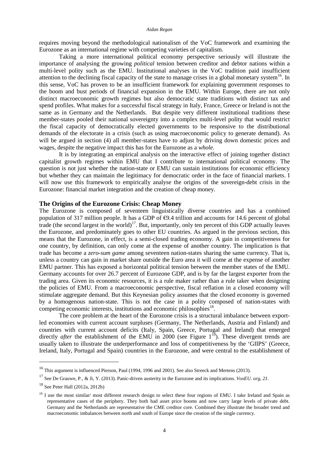requires moving beyond the methodological nationalism of the VoC framework and examining the Eurozone as an international regime with competing varieties of capitalism.

Taking a more international political economy perspective seriously will illustrate the importance of analysing the growing *political* tension between creditor and debtor nations within a multi-level polity such as the EMU. Institutional analyses in the VoC tradition paid insufficient attention to the declining fiscal capacity of the state to manage crises in a global monetary system<sup>16</sup>. In this sense, VoC has proven to be an insufficient framework for explaining government responses to the boom and bust periods of financial expansion in the EMU. Within Europe, there are not only distinct macroeconomic growth regimes but also democratic state traditions with distinct tax and spend profiles. What makes for a successful fiscal strategy in Italy, France, Greece or Ireland is not the same as in Germany and the Netherlands. But despite very different institutional traditions these member-states pooled their national sovereignty into a complex multi-level polity that would restrict the fiscal capacity of democratically elected governments to be responsive to the distributional demands of the electorate in a crisis (such as using macroeconomic policy to generate demand). As will be argued in section (4) all member-states have to adjust by driving down domestic prices and wages, despite the negative impact this has for the Eurozone as a *whole*.

It is by integrating an empirical analysis on the interactive effect of joining together distinct capitalist growth regimes within EMU that I contribute to international political economy. The question is not just whether the nation-state or EMU can sustain institutions for economic efficiency but whether they can maintain the legitimacy for democratic order in the face of financial markets. I will now use this framework to empirically analyse the origins of the sovereign-debt crisis in the Eurozone: financial market integration and the creation of cheap money.

#### **The Origins of the Eurozone Crisis: Cheap Money**

The Eurozone is composed of seventeen linguistically diverse countries and has a combined population of 317 million people. It has a GDP of  $\Theta$ .4 trillion and accounts for 14.6 percent of global trade (the second largest in the world)<sup>17</sup>. But, importantly, only ten percent of this GDP actually leaves the Eurozone, and predominately goes to other EU countries. As argued in the previous section, this means that the Eurozone, in effect, is a semi-closed trading economy. A gain in competitiveness for one country, by definition, can only come at the expense of another country. The implication is that trade has become a *zero-sum game* among seventeen nation-states sharing the same currency. That is, unless a country can gain in market share outside the Euro area it will come at the expense of another EMU partner. This has exposed a horizontal political tension between the member states of the EMU. Germany accounts for over 26.7 percent of Eurozone GDP, and is by far the largest exporter from the trading area. Given its economic resources, it is a rule maker rather than a rule taker when designing the policies of EMU. From a macroeconomic perspective, fiscal reflation in a closed economy will stimulate aggregate demand. But this Keynesian policy assumes that the closed economy is governed by a homogenous nation-state. This is not the case in a polity composed of nation-states with competing economic interests, institutions and economic philosophies<sup>18</sup>.

<span id="page-9-3"></span>The core problem at the heart of the Eurozone crisis is a structural imbalance between exportled economies with current account surpluses (Germany, The Netherlands, Austria and Finland) and countries with current account deficits (Italy, Spain, Greece, Portugal and Ireland) that emerged directly *after* the establishment of the EMU in 2000 (see Figure 1<sup>[19](#page-9-2)</sup>). These divergent trends are usually taken to illustrate the underperformance and loss of competitiveness by the 'GIIPS' (Greece, Ireland, Italy, Portugal and Spain) countries in the Eurozone, and were central to the establishment of

<sup>&</sup>lt;sup>16</sup> This argument is influenced Pierson, Paul (1994, 1996 and 2001). See also Streeck and Mertens (2013).

<span id="page-9-0"></span><sup>17</sup> See De Grauwe, P., & Ji, Y. (2013). Panic-driven austerity in the Eurozone and its implications. *VoxEU. org*, *21*.

<span id="page-9-1"></span> $18$  See Peter Hall (2012a, 2012b)

<span id="page-9-2"></span><sup>&</sup>lt;sup>19</sup> I use the most similar/ most different research design to select these four regions of EMU. I take Ireland and Spain as representative cases of the periphery. They both had asset price booms and now carry large levels of private debt. Germany and the Netherlands are representative the CME creditor core. Combined they illustrate the broader trend and macroeconomic imbalances between north and south of Europe since the creation of the single currency.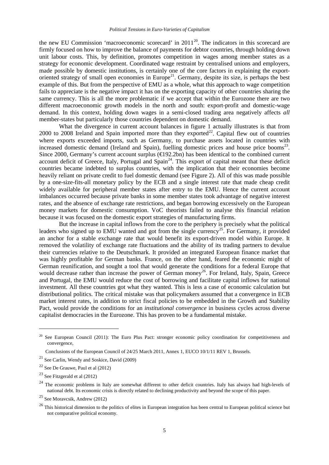the new EU Commission 'macroeconomic scorecard' in  $2011^{20}$ . The indicators in this scorecard are firmly focused on how to improve the balance of payments for debtor countries, through holding down unit labour costs. This, by definition, promotes competition in wages among member states as a strategy for economic development. Coordinated wage restraint by centralised unions and employers, made possible by domestic institutions, is certainly one of the core factors in explaining the exportoriented strategy of small open economies in Europe<sup>21</sup>. Germany, despite its size, is perhaps the best example of this. But from the perspective of EMU as a whole, what this approach to wage competition fails to appreciate is the negative impact it has on the exporting capacity of other countries sharing the same currency. This is all the more problematic if we accept that within the Eurozone there are two different macroeconomic growth models in the north and south: export-profit and domestic-wage demand. In this context, holding down wages in a semi-closed trading area negatively affects *all* member-states but particularly those countries dependent on domestic demand.

What the divergence in current account balances in figure 1 actually illustrates is that from 2000 to 2008 Ireland and Spain imported more than they exported<sup>[22](#page-10-1)</sup>. Capital flew out of countries where exports exceeded imports, such as Germany, to purchase assets located in countries with increased domestic demand (Ireland and Spain), fuelling domestic prices and house price booms<sup>23</sup>. Since 2000, Germany's current account surplus (€192.2bn) has been identical to the combined current account deficit of Greece, Italy, Portugal and Spain<sup>[24](#page-10-3)</sup>. This export of capital meant that these deficit countries became indebted to surplus countries, with the implication that their economies become heavily reliant on private credit to fuel domestic demand (see Figure 2). All of this was made possible by a one-size-fits-all monetary policy by the ECB and a single interest rate that made cheap credit widely available for peripheral member states after entry to the EMU. Hence the current account imbalances occurred because private banks in some member states took advantage of negative interest rates, and the absence of exchange rate restrictions, and began borrowing excessively on the European money markets for domestic consumption. VoC theorists failed to analyse this financial relation because it was focused on the domestic export strategies of manufacturing firms.

But the increase in capital inflows from the core to the periphery is precisely what the political leaders who signed up to EMU wanted and got from the single currency<sup>25</sup>. For Germany, it provided an anchor for a stable exchange rate that would benefit its export-driven model within Europe. It removed the volatility of exchange rate fluctuations and the ability of its trading partners to devalue their currencies relative to the Deutschmark. It provided an integrated European finance market that was highly profitable for German banks. France, on the other hand, feared the economic might of German reunification, and sought a tool that would generate the conditions for a federal Europe that would decrease rather than increase the power of German money<sup>[26](#page-10-5)</sup>. For Ireland, Italy, Spain, Greece and Portugal, the EMU would reduce the cost of borrowing and facilitate capital inflows for national investment. All these countries got what they wanted. This is less a case of economic calculation but distributional politics. The critical mistake was that policymakers assumed that a convergence in ECB market interest rates, in addition to strict fiscal policies to be embedded in the Growth and Stability Pact, would provide the conditions for an *institutional convergence* in business cycles across diverse capitalist democracies in the Eurozone. This has proven to be a fundamental mistake.

-

<sup>&</sup>lt;sup>20</sup> See European Council (2011): The Euro Plus Pact: stronger economic policy coordination for competitiveness and convergence,

Conclusions of the European Council of 24/25 March 2011, Annex 1, EUCO 10/1/11 REV 1, Brussels.

<span id="page-10-0"></span><sup>21</sup> See Carlin, Wendy and Soskice, David (2009)

<span id="page-10-1"></span> $22$  See De Grauwe, Paul et al  $(2012)$ 

<span id="page-10-2"></span> $23$  See Fitzgerald et al (2012)

<span id="page-10-3"></span> $^{24}$  The economic problems in Italy are somewhat different to other deficit countries. Italy has always had high-levels of national debt. Its economic crisis is directly related to declining productivity and beyond the scope of this paper.

<span id="page-10-6"></span><span id="page-10-4"></span> $25$  See Moravcsik, Andrew (2012)

<span id="page-10-5"></span><sup>&</sup>lt;sup>26</sup> This historical dimension to the politics of elites in European integration has been central to European political science but not comparative political economy.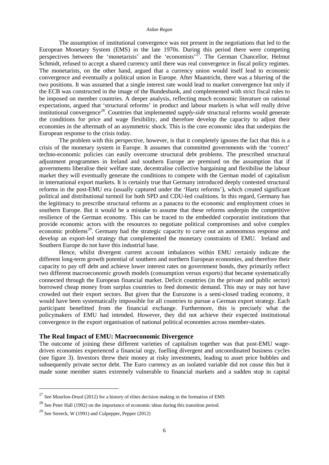The assumption of institutional convergence was not present in the negotiations that led to the European Monetary System (EMS) in the late 1970s. During this period there were competing perspectives between the 'monetarists' and the 'economists'<sup>27</sup>. The German Chancellor, Helmut Schmidt, refused to accept a shared currency until there was real convergence in fiscal policy regimes. The monetarists, on the other hand, argued that a currency union would itself lead to economic convergence and eventually a political union in Europe. After Maastricht, there was a blurring of the two positions. It was assumed that a single interest rate would lead to market convergence but only if the ECB was constructed in the image of the Bundesbank, and complemented with strict fiscal rules to be imposed on member countries. A deeper analysis, reflecting much economic literature on rational expectations, argued that 'structural reforms' in product and labour markets is what will really drive institutional convergence<sup>28</sup>. Countries that implemented *supply-side* structural reforms would generate the conditions for price and wage flexibility, and therefore develop the capacity to adjust their economies in the aftermath of an asymmetric shock. This is the core economic idea that underpins the European response to the crisis today.

The problem with this perspective, however, is that it completely ignores the fact that this is a crisis of the monetary system in Europe. It assumes that committed governments with the 'correct' techno-economic policies can easily overcome structural debt problems. The prescribed structural adjustment programmes in Ireland and southern Europe are premised on the assumption that if governments liberalise their welfare state, decentralise collective bargaining and flexibilise the labour market they will eventually generate the conditions to compete with the German model of capitalism in international export markets. It is certainly true that Germany introduced deeply contested structural reforms in the post-EMU era (usually captured under the 'Hartz reforms'), which created significant political and distributional turmoil for both SPD and CDU-led coalitions. In this regard, Germany has the legitimacy to prescribe structural reforms as a panacea to the economic and employment crises in southern Europe. But it would be a mistake to assume that these reforms underpin the competitive resilience of the German economy. This can be traced to the embedded corporatist institutions that provide economic actors with the resources to negotiate political compromises and solve complex economic problems<sup>29</sup>. Germany had the strategic capacity to carve out an autonomous response and develop an export-led strategy that complemented the monetary constraints of EMU. Ireland and Southern Europe do not have this industrial base.

Hence, whilst divergent current account imbalances within EMU certainly indicate the different long-term growth potential of southern and northern European economies, and therefore their capacity to pay off debt and achieve lower interest rates on government bonds, they primarily reflect two different macroeconomic growth models (consumption versus exports) that became systematically connected through the European financial market. Deficit countries (in the private and public sector) borrowed cheap money from surplus countries to feed domestic demand. This may or may not have crowded out their export sectors. But given that the Eurozone is a semi-closed trading economy, it would have been systematically impossible for all countries to pursue a German export strategy. Each participant benefitted from the financial exchange. Furthermore, this is precisely what the policymakers of EMU had intended. However, they did not achieve their expected institutional convergence in the export organisation of national political economies across member-states.

#### **The Real Impact of EMU: Macroeconomic Divergence**

<span id="page-11-2"></span>The outcome of joining these different varieties of capitalism together was that post-EMU wagedriven economies experienced a financial orgy, fuelling divergent and uncoordinated business cycles (see figure 3). Investors threw their money at risky investments, leading to asset price bubbles and subsequently private sector debt. The Euro currency as an isolated variable did not *cause* this but it made some member states extremely vulnerable to financial markets and a sudden stop in capital

 $^{27}$  See Mourlon-Druol (2012) for a history of elites decision making in the formation of EMS

<span id="page-11-0"></span> $^{28}$  See Peter Hall (1992) on the importance of economic ideas during this transition period.

<span id="page-11-1"></span><sup>&</sup>lt;sup>29</sup> See Streeck, W (1991) and Culpepper, Pepper (2012)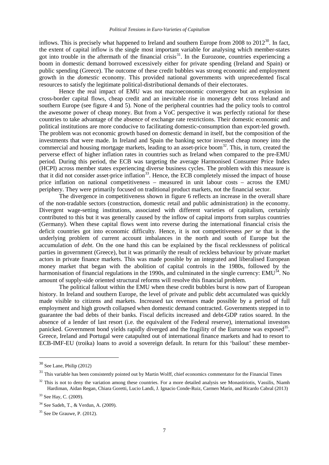inflows. This is precisely what happened to Ireland and southern Europe from 2008 to  $2012^{30}$ . In fact, the extent of capital inflow is the single most important variable for analysing which member-states got into trouble in the aftermath of the financial crisis<sup>[31](#page-12-0)</sup>. In the Eurozone, countries experiencing a boom in domestic demand borrowed excessively either for private spending (Ireland and Spain) or public spending (Greece). The outcome of these credit bubbles was strong economic and employment growth in the *domestic* economy. This provided national governments with unprecedented fiscal resources to satisfy the legitimate political-distributional demands of their electorates.

Hence the real impact of EMU was not macroeconomic convergence but an explosion in cross-border capital flows, cheap credit and an inevitable rise in monetary debt cross Ireland and southern Europe (see figure 4 and 5). None of the peripheral countries had the policy tools to control the awesome power of cheap money. But from a VoC perspective it was perfectly rational for these countries to take advantage of the absence of exchange rate restrictions. Their domestic economic and political institutions are more conducive to facilitating domestic-consumption than export-led growth. The problem was not economic growth based on domestic demand in itself, but the composition of the investments that were made. In Ireland and Spain the banking sector invested cheap money into the commercial and housing mortgage markets, leading to an asset-price boom<sup>[32](#page-12-1)</sup>. This, in turn, created the perverse effect of higher inflation rates in countries such as Ireland when compared to the pre-EMU period. During this period, the ECB was targeting the average Harmonised Consumer Price Index (HCPI) across member states experiencing diverse business cycles. The problem with this measure is that it did not consider asset-price inflation<sup>33</sup>. Hence, the ECB completely missed the impact of house price inflation on national competitiveness – measured in unit labour costs – across the EMU periphery. They were primarily focused on traditional product markets, not the financial sector.

The divergence in competitiveness shown in figure 6 reflects an increase in the overall share of the non-tradable sectors (construction, domestic retail and public administration) in the economy. Divergent wage-setting institutions, associated with different varieties of capitalism, certainly contributed to this but it was generally caused by the inflow of capital imports from surplus countries (Germany). When these capital flows went into reverse during the international financial crisis the deficit countries got into economic difficulty. Hence, it is not competitiveness *per se* that is the underlying problem of current account imbalances in the north and south of Europe but the accumulation of *debt*. On the one hand this can be explained by the fiscal recklessness of political parties in government (Greece), but it was primarily the result of reckless behaviour by private market actors in private finance markets. This was made possible by an integrated and liberalised European money market that began with the abolition of capital controls in the 1980s, followed by the harmonisation of financial regulations in the 1990s, and culminated in the single currency: EMU<sup>[34](#page-12-3)</sup>. No amount of supply-side oriented structural reforms will resolve this financial problem.

The political fallout within the EMU when these credit bubbles burst is now part of European history. In Ireland and southern Europe, the level of private and public debt accumulated was quickly made visible to citizens and markets. Increased tax revenues made possible by a period of full employment and high growth collapsed when domestic demand contracted. Governments stepped in to guarantee the bad debts of their banks. Fiscal deficits increased and debt-GDP ratios soared. In the absence of a lender of last resort (i.e. the equivalent of the Federal reserve), international investors panicked. Government bond yields rapidly diverged and the fragility of the Eurozone was exposed<sup>35</sup>. Greece, Ireland and Portugal were catapulted out of international finance markets and had to resort to ECB-IMF-EU (troika) loans to avoid a sovereign default. In return for this 'bailout' these member-

 <sup>30</sup> See Lane, Philip (2012)

<span id="page-12-0"></span> $31$  This variable has been consistently pointed out by Martin Wolff, chief economics commentator for the Financial Times

<span id="page-12-5"></span><span id="page-12-1"></span> $32$  This is not to deny the variation among these countries. For a more detailed analysis see Monastiriotis, Vassilis, Niamh Hardiman, Aidan Regan, Chiara Goretti, Lucio Landi, J. Ignacio Conde-Ruiz, Carmen Marín, and Ricardo Cabral (2013)

<span id="page-12-2"></span><sup>33</sup> See Hay, C. (2009).

<span id="page-12-3"></span><sup>34</sup> See Sadeh, T., & Verdun, A. (2009).

<span id="page-12-4"></span> $35$  See De Grauwe, P. (2012).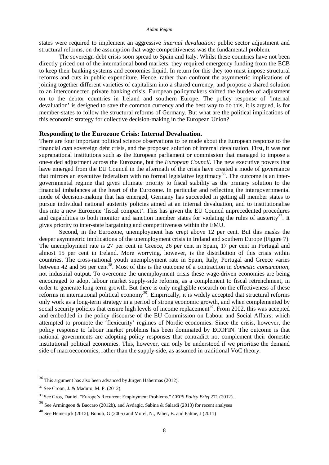#### *Aidan Regan*

states were required to implement an aggressive *internal devaluation*: public sector adjustment and structural reforms, on the assumption that wage competitiveness was the fundamental problem.

The sovereign-debt crisis soon spread to Spain and Italy. Whilst these countries have not been directly priced out of the international bond markets, they required emergency funding from the ECB to keep their banking systems and economies liquid. In return for this they too must impose structural reforms and cuts in public expenditure. Hence, rather than confront the asymmetric implications of joining together different varieties of capitalism into a shared currency, and propose a shared solution to an interconnected private banking crisis, European policymakers shifted the burden of adjustment on to the debtor countries in Ireland and southern Europe. The policy response of 'internal devaluation' is designed to save the common currency and the best way to do this, it is argued, is for member-states to follow the structural reforms of Germany. But what are the political implications of this economic strategy for collective decision-making in the European Union?

#### **Responding to the Eurozone Crisis: Internal Devaluation.**

There are four important political science observations to be made about the European response to the financial *cum* sovereign debt crisis, and the proposed solution of internal devaluation. First, it was not supranational institutions such as the European parliament or commission that managed to impose a one-sided adjustment across the Eurozone, but the *European Council*. The new executive powers that have emerged from the EU Council in the aftermath of the crisis have created a mode of governance that mirrors an executive federalism with no formal legislative legitimacy<sup>[36](#page-12-5)</sup>. The outcome is an intergovernmental regime that gives ultimate priority to fiscal stability as the primary solution to the financial imbalances at the heart of the Eurozone. In particular and reflecting the intergovernmental mode of decision-making that has emerged, Germany has succeeded in getting all member states to pursue individual national austerity policies aimed at an internal devaluation, and to institutionalise this into a new Eurozone 'fiscal compact'. This has given the EU Council unprecedented procedures and capabilities to both monitor and sanction member states for violating the rules of austerity $37$ . It gives priority to inter-state bargaining and competitiveness within the EMU.

Second, in the Eurozone, unemployment has crept above 12 per cent. But this masks the deeper asymmetric implications of the unemployment crisis in Ireland and southern Europe (Figure 7). The unemployment rate is 27 per cent in Greece, 26 per cent in Spain, 17 per cent in Portugal and almost 15 per cent in Ireland. More worrying, however, is the distribution of this crisis within countries. The cross-national youth unemployment rate in Spain, Italy, Portugal and Greece varies between 42 and 56 per cent[38.](#page-13-1) Most of this is the outcome of a contraction in *domestic consumption*, not industrial output. To overcome the unemployment crisis these wage-driven economies are being encouraged to adopt labour market supply-side reforms, as a complement to fiscal retrenchment, in order to generate long-term growth. But there is only negligible research on the effectiveness of these reforms in international political economy<sup>[39](#page-13-2)</sup>. Empirically, it is widely accepted that structural reforms only work as a long-term strategy in a period of strong economic growth, and when complemented by social security policies that ensure high levels of income replacement<sup>[40](#page-13-3)</sup>. From 2002, this was accepted and embedded in the policy discourse of the EU Commission on Labour and Social Affairs, which attempted to promote the 'flexicurity' regimes of Nordic economies. Since the crisis, however, the policy response to labour market problems has been dominated by ECOFIN. The outcome is that national governments are adopting policy responses that contradict not complement their domestic institutional political economies. This, however, can only be understood if we prioritise the demand side of macroeconomics, rather than the supply-side, as assumed in traditional VoC theory.

<span id="page-13-4"></span> <sup>36</sup> This argument has also been advanced by Jürgen Habermas (2012).

<span id="page-13-0"></span><sup>37</sup> See Croon, J. & Maduro, M. P. (2012).

<span id="page-13-1"></span><sup>38</sup> See Gros, Daniel. "Europe's Recurrent Employment Problems." *CEPS Policy Brief* 271 (2012).

<span id="page-13-2"></span> $39$  See Armingeon & Baccaro (2012b), and Avdagic, Sabina & Salardi (2013) for recent analyses

<span id="page-13-3"></span><sup>&</sup>lt;sup>40</sup> See Hemerijck (2012), Bonoli, G (2005) and Morel, N., Palier, B. and Palme, J (2011)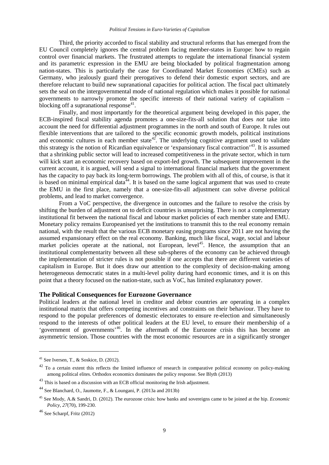Third, the priority accorded to fiscal stability and structural reforms that has emerged from the EU Council completely ignores the central problem facing member-states in Europe: how to regain control over financial markets. The frustrated attempts to regulate the international financial system and its parametric expression in the EMU are being blockaded by political fragmentation among nation-states. This is particularly the case for Coordinated Market Economies (CMEs) such as Germany, who jealously guard their prerogatives to defend their domestic export sectors, and are therefore reluctant to build new supranational capacities for political action. The fiscal pact ultimately sets the seal on the intergovernmental mode of national regulation which makes it possible for national governments to narrowly promote the specific interests of their national variety of capitalism – blocking off a supranational response<sup>[41](#page-13-4)</sup>.

Finally, and most importantly for the theoretical argument being developed in this paper, the ECB-inspired fiscal stability agenda promotes a one-size-fits-all solution that does *not* take into account the need for differential adjustment programmes in the north and south of Europe. It rules out flexible interventions that are tailored to the specific economic growth models, political institutions and economic cultures in each member state<sup>42</sup>. The underlying cognitive argument used to validate this strategy is the notion of Ricardian equivalence or 'expansionary fiscal contraction'[43](#page-14-1). It is assumed that a shrinking public sector will lead to increased competitiveness in the private sector, which in turn will kick start an economic recovery based on export-led growth. The subsequent improvement in the current account, it is argued, will send a signal to international financial markets that the government has the capacity to pay back its long-term borrowings. The problem with all of this, of course, is that it is based on minimal empirical data<sup> $44$ </sup>. It is based on the same logical argument that was used to create the EMU in the first place, namely that a one-size-fits-all adjustment can solve diverse political problems, and lead to market convergence.

From a VoC perspective, the divergence in outcomes and the failure to resolve the crisis by shifting the burden of adjustment on to deficit countries is unsurprising. There is not a complementary institutional fit between the national fiscal and labour market policies of each member state and EMU. Monetary policy remains Europeanised yet the institutions to transmit this to the real economy remain national, with the result that the various ECB monetary easing programs since 2011 are not having the assumed expansionary effect on the real economy. Banking, much like fiscal, wage, social and labour market policies operate at the national, not European, level<sup>45</sup>. Hence, the assumption that an institutional complementarity between all these sub-spheres of the economy can be achieved through the implementation of stricter rules is not possible if one accepts that there are different varieties of capitalism in Europe. But it does draw our attention to the complexity of decision-making among heterogeneous democratic states in a multi-level polity during hard economic times, and it is on this point that a theory focused on the nation-state, such as VoC, has limited explanatory power.

#### **The Political Consequences for Eurozone Governance**

Political leaders at the national level in creditor and debtor countries are operating in a complex institutional matrix that offers competing incentives and constraints on their behaviour. They have to respond to the popular preferences of domestic electorates to ensure re-election and simultaneously respond to the interests of other political leaders at the EU level, to ensure their membership of a 'government of governments'[46.](#page-14-4) In the aftermath of the Eurozone crisis this has become an asymmetric tension. Those countries with the most economic resources are in a significantly stronger

<u>.</u>

 $41$  See Iversen, T., & Soskice, D. (2012).

<span id="page-14-5"></span><span id="page-14-0"></span> $42$  To a certain extent this reflects the limited influence of research in comparative political economy on policy-making among political elites. Orthodox economics dominates the policy response. See Blyth (2013)

<span id="page-14-1"></span><sup>&</sup>lt;sup>43</sup> This is based on a discussion with an ECB official monitoring the Irish adjustment.

<span id="page-14-2"></span><sup>44</sup> See Blanchard, O., Jaumotte, F., & Loungani, P. (2013a and 2013b)

<span id="page-14-3"></span><sup>45</sup> See Mody, A.& Sandri, D. (2012). The eurozone crisis: how banks and sovereigns came to be joined at the hip. *Economic Policy*, *27*(70), 199-230.

<span id="page-14-4"></span><sup>46</sup> See Scharpf, Fritz (2012)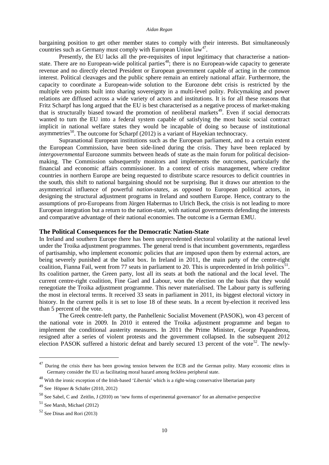bargaining position to get other member states to comply with their interests. But simultaneously countries such as Germany must comply with European Union  $law<sup>47</sup>$  $law<sup>47</sup>$  $law<sup>47</sup>$ .

Presently, the EU lacks all the pre-requisites of input legitimacy that characterise a nationstate. There are no European-wide political parties<sup>48</sup>; there is no European-wide capacity to generate revenue and no directly elected President or European government capable of acting in the common interest. Political cleavages and the public sphere remain an entirely national affair. Furthermore, the capacity to coordinate a European-wide solution to the Eurozone debt crisis is restricted by the multiple veto points built into sharing sovereignty in a multi-level polity. Policymaking and power relations are diffused across a wide variety of actors and institutions. It is for all these reasons that Fritz Scharpf has long argued that the EU is best characterised as a negative process of market-making that is structurally biased toward the promotion of neoliberal markets<sup>[49](#page-15-1)</sup>. Even if social democrats wanted to turn the EU into a federal system capable of satisfying the most basic social contract implicit in national welfare states they would be incapable of doing so because of institutional asymmetries<sup>[50](#page-15-2)</sup>. The outcome for Scharpf (2012) is a variant of Hayekian technocracy.

Supranational European institutions such as the European parliament, and to a certain extent the European Commission, have been side-lined during the crisis. They have been replaced by *intergovernmental* Eurozone summits between heads of state as the main forum for political decisionmaking. The Commission subsequently monitors and implements the outcomes, particularly the financial and economic affairs commissioner. In a context of crisis management, where creditor countries in northern Europe are being requested to distribute scarce resources to deficit countries in the south, this shift to national bargaining should not be surprising. But it draws our attention to the asymmetrical influence of powerful *nation-states*, as opposed to European political actors, in designing the structural adjustment programs in Ireland and southern Europe. Hence, contrary to the assumptions of pro-Europeans from Jürgen Habermas to Ulrich Beck, the crisis is not leading to more European integration but a return to the nation-state, with national governments defending the interests and comparative advantage of their national economies. The outcome is a German EMU.

## **The Political Consequences for the Democratic Nation-State**

In Ireland and southern Europe there has been unprecedented electoral volatility at the national level under the Troika adjustment programmes. The general trend is that incumbent governments, regardless of partisanship, who implement economic policies that are imposed upon them by external actors, are being severely punished at the ballot box. In Ireland in 2011, the main party of the centre-right coalition, Fianna Fail, went from 77 seats in parliament to 20. This is unprecedented in Irish politics<sup>51</sup>. Its coalition partner, the Green party, lost all its seats at both the national and the local level. The current centre-right coalition, Fine Gael and Labour, won the election on the basis that they would renegotiate the Troika adjustment programme. This never materialised. The Labour party is suffering the most in electoral terms. It received 33 seats in parliament in 2011, its biggest electoral victory in history. In the current polls it is set to lose 18 of these seats. In a recent by-election it received less than 5 percent of the vote.

The Greek centre-left party, the Panhellenic Socialist Movement (PASOK), won 43 percent of the national vote in 2009. In 2010 it entered the Troika adjustment programme and began to implement the conditional austerity measures. In 2011 the Prime Minister, George Papandreou, resigned after a series of violent protests and the government collapsed. In the subsequent 2012 election PASOK suffered a historic defeat and barely secured 13 percent of the vote<sup>52</sup>. The newly-

<sup>&</sup>lt;sup>47</sup> During the crisis there has been growing tension between the ECB and the German polity. Many economic elites in Germany consider the EU as facilitating moral hazard among feckless peripheral state.

<span id="page-15-5"></span><span id="page-15-0"></span><sup>48</sup> With the ironic exception of the Irish-based '*Libertás*' which is a right-wing conservative libertarian party

<span id="page-15-1"></span> $49$  See Höpner & Schäfer (2010, 2012)

<span id="page-15-2"></span><sup>50</sup> See Sabel, C and Zeitlin, J (2010) on 'new forms of experimental governance' for an alternative perspective

<span id="page-15-3"></span> $51$  See Marsh, Michael (2012)

<span id="page-15-4"></span> $52$  See Dinas and Rori (2013)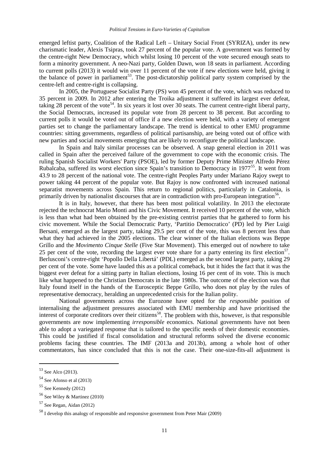emerged leftist party, Coalition of the Radical Left – Unitary Social Front (SYRIZA), under its new charismatic leader, Alexis Tsipras, took 27 percent of the popular vote. A government was formed by the centre-right New Democracy, which whilst losing 10 percent of the vote secured enough seats to form a minority government. A neo-Nazi party, Golden Dawn, won 18 seats in parliament. According to current polls (2013) it would win over 11 percent of the vote if new elections were held, giving it the balance of power in parliament<sup>[53](#page-15-5)</sup>. The post-dictatorship political party system comprised by the centre-left and centre-right is collapsing.

In 2005, the Portuguese Socialist Party (PS) won 45 percent of the vote, which was reduced to 35 percent in 2009. In 2012 after entering the Troika adjustment it suffered its largest ever defeat, taking 28 percent of the vote<sup>[54](#page-16-0)</sup>. In six years it lost over 30 seats. The current centre-right liberal party, the Social Democrats, increased its popular vote from 28 percent to 38 percent. But according to current polls it would be voted out of office if a new election were held, with a variety of emergent parties set to change the parliamentary landscape. The trend is identical to other EMU programme countries: sitting governments, regardless of political partisanship, are being voted out of office with new parties and social movements emerging that are likely to reconfigure the political landscape.

In Spain and Italy similar processes can be observed. A snap general election in 2011 was called in Spain after the perceived failure of the government to cope with the economic crisis. The ruling Spanish Socialist Workers' Party (PSOE), led by former Deputy Prime Minister Alfredo Pérez Rubalcaba, suffered its worst election since Spain's transition to Democracy in 1977<sup>[55](#page-16-1)</sup>. It went from 43.9 to 28 percent of the national vote. The centre-right Peoples Party under Mariano Rajoy swept to power taking 44 percent of the popular vote. But Rajoy is now confronted with increased national separatist movements across Spain. This return to regional politics, particularly in Catalonia, is primarily driven by nationalist discourses that are in contradiction with pro-European integration<sup>56</sup>.

It is in Italy, however, that there has been most political volatility. In 2013 the electorate rejected the technocrat Mario Monti and his Civic Movement. It received 10 percent of the vote, which is less than what had been obtained by the pre-existing centrist parties that he gathered to form his civic movement. While the Social Democratic Party, 'Partitio Democratico' (PD) led by Pier Luigi Bersani, emerged as the largest party, taking 29.5 per cent of the vote, this was 8 percent less than what they had achieved in the 2005 elections. The clear winner of the Italian elections was Beppe Grillo and the *Movimento Cinque Stelle* (Five Star Movement). This emerged out of nowhere to take 25 per cent of the vote, recording the largest ever vote share for a party entering its first election<sup>57</sup>. Berlusconi's centre-right 'Popollo Della Libertá' (PDL) emerged as the second largest party, taking 29 per cent of the vote. Some have lauded this as a political comeback, but it hides the fact that it was the biggest ever defeat for a sitting party in Italian elections, losing 16 per cent of its vote. This is much like what happened to the Christian Democrats in the late 1980s. The outcome of the election was that Italy found itself in the hands of the Eurosceptic Beppe Grillo, who does not play by the rules of representative democracy, heralding an unprecedented crisis for the Italian polity.

National governments across the Eurozone have opted for the *responsible* position of internalising the adjustment pressures associated with EMU membership and have prioritised the interest of corporate creditors over their citizens<sup>[58](#page-16-4)</sup>. The problem with this, however, is that responsible governments are now implementing *irresponsible* economics. National governments have not been able to adopt a variegated response that is tailored to the specific needs of their domestic economies. This could be justified if fiscal consolidation and structural reforms solved the diverse economic problems facing these countries. The IMF (2013a and 2013b), among a whole host of other commentators, has since concluded that this is not the case. Their one-size-fits-all adjustment is

<span id="page-16-5"></span> $53$  See Alco (2013).

<span id="page-16-0"></span> $54$  See Afonso et al  $(2013)$ 

<span id="page-16-1"></span> $55$  See Kennedy (2012)

<span id="page-16-2"></span><sup>56</sup> See Wiley & Martinez (2010)

<span id="page-16-3"></span> $57$  See Regan, Aidan (2012)

<span id="page-16-4"></span><sup>58</sup> I develop this analogy of responsible and responsive government from Peter Mair (2009)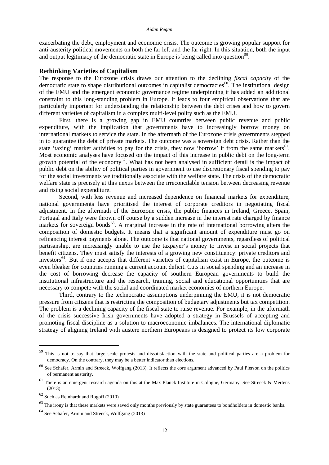exacerbating the debt, employment and economic crisis. The outcome is growing popular support for anti-austerity political movements on both the far left and the far right. In this situation, both the input and output legitimacy of the democratic state in Europe is being called into question<sup>[59](#page-16-5)</sup>.

#### **Rethinking Varieties of Capitalism**

The response to the Eurozone crisis draws our attention to the declining *fiscal capacity* of the democratic state to shape distributional outcomes in capitalist democracies<sup>60</sup>. The institutional design of the EMU and the emergent economic governance regime underpinning it has added an additional constraint to this long-standing problem in Europe. It leads to four empirical observations that are particularly important for understanding the relationship between the debt crises and how to govern different varieties of capitalism in a complex multi-level polity such as the EMU.

First, there is a growing gap in EMU countries between public revenue and public expenditure, with the implication that governments have to increasingly borrow money on international markets to service the state. In the aftermath of the Eurozone crisis governments stepped in to guarantee the debt of private markets. The outcome was a sovereign debt crisis. Rather than the state 'taxing' market activities to pay for the crisis, they now 'borrow' it from the same markets<sup>61</sup>. Most economic analyses have focused on the impact of this increase in public debt on the long-term growth potential of the economy<sup>[62](#page-17-3)</sup>. What has not been analysed in sufficient detail is the impact of public debt on the ability of political parties in government to use discretionary fiscal spending to pay for the social investments we traditionally associate with the welfare state. The crisis of the democratic welfare state is precisely at this nexus between the irreconcilable tension between decreasing revenue and rising social expenditure.

Second, with less revenue and increased dependence on financial markets for expenditure, national governments have prioritised the interest of corporate creditors in negotiating fiscal adjustment. In the aftermath of the Eurozone crisis, the public finances in Ireland, Greece, Spain, Portugal and Italy were thrown off course by a sudden increase in the interest rate charged by finance markets for sovereign bonds<sup>[63](#page-17-4)</sup>. A marginal increase in the rate of international borrowing alters the composition of domestic budgets. It means that a significant amount of expenditure must go on refinancing interest payments alone. The outcome is that national governments, regardless of political partisanship, are increasingly unable to use the taxpayer's money to invest in social projects that benefit citizens. They must satisfy the interests of a growing new constituency: private creditors and investors<sup>[64](#page-17-5)</sup>. But if one accepts that different varieties of capitalism exist in Europe, the outcome is even bleaker for countries running a current account deficit. Cuts in social spending and an increase in the cost of borrowing decrease the capacity of southern European governments to build the institutional infrastructure and the research, training, social and educational opportunities that are necessary to compete with the social and coordinated market economies of northern Europe.

Third, contrary to the technocratic assumptions underpinning the EMU, it is not democratic pressure from citizens that is restricting the composition of budgetary adjustments but tax competition. The problem is a declining capacity of the fiscal state to raise revenue. For example, in the aftermath of the crisis successive Irish governments have adopted a strategy in Brussels of accepting and promoting fiscal discipline as a solution to macroeconomic imbalances. The international diplomatic strategy of aligning Ireland with austere northern Europeans is designed to protect its low corporate

 <sup>59</sup> This is not to say that large scale protests and dissatisfaction with the state and political parties are a problem for democracy. On the contrary, they may be a better indicator than elections.

<span id="page-17-1"></span> $60$  See Schafer, Armin and Streeck, Wolfgang (2013). It reflects the core argument advanced by Paul Pierson on the politics of permanent austerity.

<span id="page-17-2"></span><sup>&</sup>lt;sup>61</sup> There is an emergent research agenda on this at the Max Planck Institute in Cologne, Germany. See Streeck & Mertens (2013)

<span id="page-17-3"></span> $62$  Such as Reinhardt and Rogoff (2010)

<span id="page-17-4"></span> $^{63}$  The irony is that these markets were saved only months previously by state guarantees to bondholders in domestic banks.

<span id="page-17-5"></span><span id="page-17-0"></span> $64$  See Schafer, Armin and Streeck, Wolfgang (2013)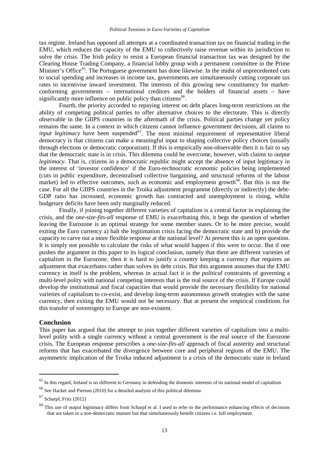tax regime. Ireland has opposed all attempts at a coordinated transaction tax on financial trading in the EMU, which reduces the capacity of the EMU to collectively raise revenue within its jurisdiction to solve the crisis. The Irish policy to resist a European financial transaction tax was designed by the Clearing House Trading Company, a financial lobby group with a permanent committee in the Prime Minister's Office<sup>65</sup>. The Portuguese government has done likewise. In the midst of unprecedented cuts to social spending and increases in income tax, governments are simultaneously cutting corporate tax rates to incentivise inward investment. The interests of this growing new constituency for marketconforming governments – international creditors and the holders of financial assets – have significantly more influence on public policy than citizens<sup>66</sup>.

Fourth, the priority accorded to repaying interest on debt places long-term restrictions on the ability of competing political parties to offer alternative choices to the electorate. This is directly observable in the GIIPS countries in the aftermath of the crisis. Political parties change yet policy remains the same. In a context in which citizens cannot influence government decisions, all claims to *input legitimacy* have been suspended<sup>[67](#page-18-1)</sup>. The most minimal requirement of representative liberal democracy is that citizens can make a meaningful input to shaping collective policy choices (usually through elections or democratic corporatism). If this is empirically non-observable then it is fair to say that the democratic state is in crisis. This dilemma could be overcome, however, with claims to *output legitimacy*. That is, citizens in a democratic republic might accept the absence of input legitimacy in the interest of 'investor confidence' if the Euro-technocratic economic policies being implemented (cuts in public expenditure, decentralised collective bargaining, and structural reforms of the labour market) led to effective outcomes, such as economic and employment growth<sup>[68](#page-18-2)</sup>. But this is not the case. For all the GIIPS countries in the Troika adjustment programme (directly or indirectly) the debt-GDP ratio has increased, economic growth has contracted and unemployment is rising, whilst budgetary deficits have been only marginally reduced.

Finally, if joining together different varieties of capitalism is a central factor in explaining the crisis, and the o*ne-size-fits-all* response of EMU is exacerbating this, it begs the question of whether leaving the Eurozone is an optimal strategy for some member states. Or to be more precise, would exiting the Euro currency a) halt the legitimation crisis facing the democratic state and b) provide the capacity to carve out a more flexible response at the national level? At present this is an open question. It is simply not possible to calculate the risks of what would happen if this were to occur. But if one pushes the argument in this paper to its logical conclusion, namely that there are different varieties of capitalism in the Eurozone, then it is hard to justify a country keeping a currency that requires an adjustment that exacerbates rather than solves its debt crisis. But this argument assumes that the EMU currency in itself is the problem, whereas in actual fact it is the *political* constraints of governing a multi-level polity with national competing interests that is the real source of the crisis. If Europe could develop the institutional and fiscal capacities that would provide the necessary flexibility for national varieties of capitalism to co-exist, and develop long-term autonomous growth strategies with the same currency, then exiting the EMU would not be necessary. But at present the empirical conditions for this transfer of sovereignty to Europe are non-existent.

#### **Conclusion**

This paper has argued that the attempt to join together different varieties of capitalism into a multilevel polity with a single currency without a central government is the real source of the Eurozone crisis. The European response prescribes a *one-size-fits-all* approach of fiscal austerity and structural reforms that has exacerbated the divergence between core and peripheral regions of the EMU. The asymmetric implication of the Troika induced adjustment is a crisis of the democratic state in Ireland

 $65$  In this regard, Ireland is no different to Germany in defending the domestic interests of its national model of capitalism

<span id="page-18-0"></span><sup>66</sup> See Hacker and Pierson (2010) for a detailed analysis of this political dilemma

<span id="page-18-1"></span> $67$  Scharpf, Fritz (2012)

<span id="page-18-2"></span> $68$  This use of output legitimacy differs from Scharpf et al. I used to refer to the performance enhancing effects of decisions that are taken in a non-democratic manner but that simultaneously benefit citizens i.e. full employment.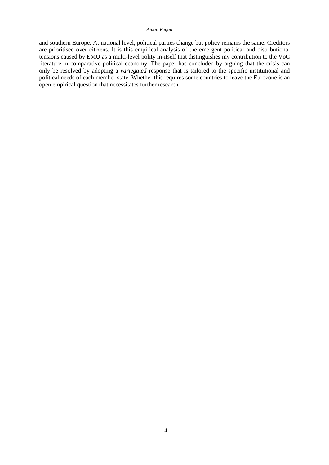#### *Aidan Regan*

and southern Europe. At national level, political parties change but policy remains the same. Creditors are prioritised over citizens. It is this empirical analysis of the emergent political and distributional tensions caused by EMU as a multi-level polity in-itself that distinguishes my contribution to the VoC literature in comparative political economy. The paper has concluded by arguing that the crisis can only be resolved by adopting a *variegated* response that is tailored to the specific institutional and political needs of each member state. Whether this requires some countries to leave the Eurozone is an open empirical question that necessitates further research.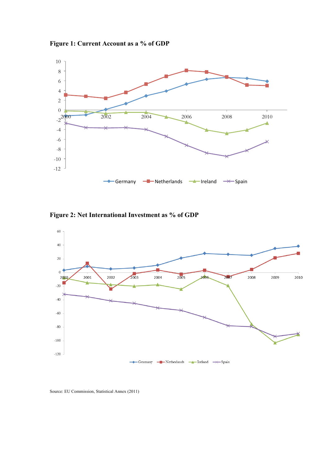



**Figure 2: Net International Investment as % of GDP**



Source: EU Commission, Statistical Annex (2011)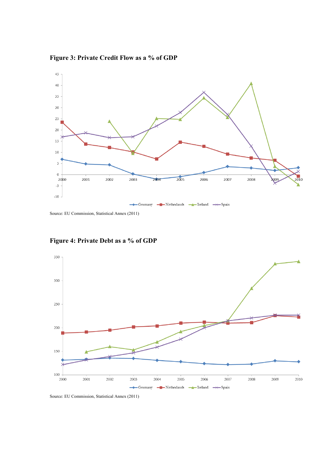**Figure 3: Private Credit Flow as a % of GDP**



Source: EU Commission, Statistical Annex (2011)



# **Figure 4: Private Debt as a % of GDP**

Source: EU Commission, Statistical Annex (2011)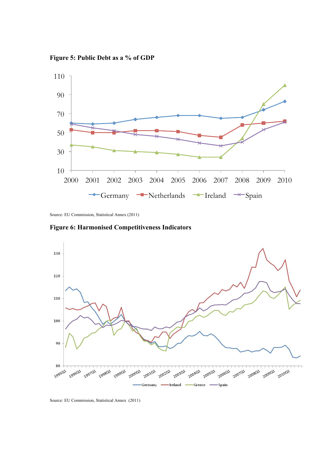**Figure 5: Public Debt as a % of GDP**



Source: EU Commission, Statistical Annex (2011)





Source: EU Commission, Statistical Annex (2011)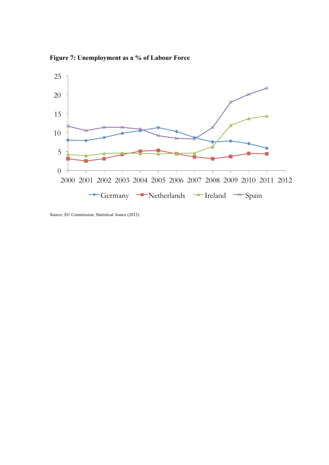**Figure 7: Unemployment as a % of Labour Force**



Source: EU Commission, Statistical Annex (2012)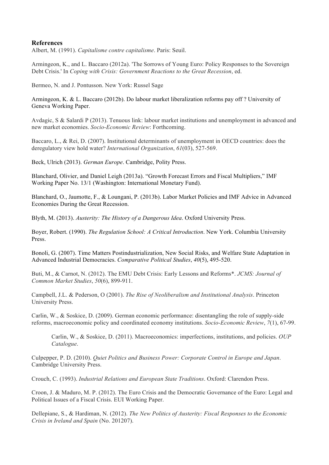## **References**

Albert, M. (1991). *Capitalisme contre capitalisme*. Paris: Seuil.

Armingeon, K., and L. Baccaro (2012a). 'The Sorrows of Young Euro: Policy Responses to the Sovereign Debt Crisis.' In *Coping with Crisis: Government Reactions to the Great Recession*, ed.

Bermeo, N. and J. Pontusson. New York: Russel Sage

Armingeon, K. & L. Baccaro (2012b). Do labour market liberalization reforms pay off ? University of Geneva Working Paper.

Avdagic, S & Salardi P (2013). Tenuous link: labour market institutions and unemployment in advanced and new market economies. *Socio-Economic Review*: Forthcoming.

Baccaro, L., & Rei, D. (2007). Institutional determinants of unemployment in OECD countries: does the deregulatory view hold water? *International Organization*, *61*(03), 527-569.

Beck, Ulrich (2013). *German Europe*. Cambridge, Polity Press.

Blanchard, Olivier, and Daniel Leigh (2013a). "Growth Forecast Errors and Fiscal Multipliers," IMF Working Paper No. 13/1 (Washington: International Monetary Fund).

Blanchard, O., Jaumotte, F., & Loungani, P. (2013b). Labor Market Policies and IMF Advice in Advanced Economies During the Great Recession.

Blyth, M. (2013). *Austerity: The History of a Dangerous Idea*. Oxford University Press.

Boyer, Robert. (1990). *The Regulation School: A Critical Introduction*. New York. Columbia University Press.

Bonoli, G. (2007). Time Matters Postindustrialization, New Social Risks, and Welfare State Adaptation in Advanced Industrial Democracies. *Comparative Political Studies*, *40*(5), 495-520.

Buti, M., & Carnot, N. (2012). The EMU Debt Crisis: Early Lessons and Reforms\*. *JCMS: Journal of Common Market Studies*, *50*(6), 899-911.

Campbell, J.L. & Pederson, O (2001). *The Rise of Neoliberalism and Institutional Analysis*. Princeton University Press.

Carlin, W., & Soskice, D. (2009). German economic performance: disentangling the role of supply-side reforms, macroeconomic policy and coordinated economy institutions. *Socio-Economic Review*, *7*(1), 67-99.

Carlin, W., & Soskice, D. (2011). Macroeconomics: imperfections, institutions, and policies. *OUP Catalogue*.

Culpepper, P. D. (2010). *Quiet Politics and Business Power: Corporate Control in Europe and Japan*. Cambridge University Press.

Crouch, C. (1993). *Industrial Relations and European State Traditions*. Oxford: Clarendon Press.

Croon, J. & Maduro, M. P. (2012). The Euro Crisis and the Democratic Governance of the Euro: Legal and Political Issues of a Fiscal Crisis. EUI Working Paper.

Dellepiane, S., & Hardiman, N. (2012). *The New Politics of Austerity: Fiscal Responses to the Economic Crisis in Ireland and Spain* (No. 201207).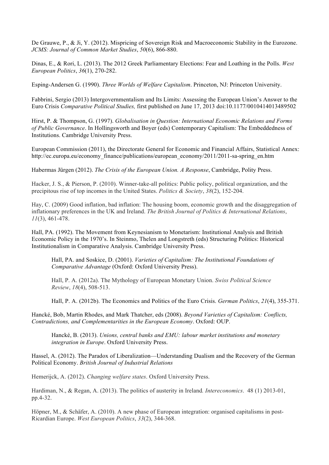De Grauwe, P., & Ji, Y. (2012). Mispricing of Sovereign Risk and Macroeconomic Stability in the Eurozone. *JCMS: Journal of Common Market Studies*, *50*(6), 866-880.

Dinas, E., & Rori, L. (2013). The 2012 Greek Parliamentary Elections: Fear and Loathing in the Polls. *West European Politics*, *36*(1), 270-282.

Esping-Andersen G. (1990). *Three Worlds of Welfare Capitalism*. Princeton, NJ: Princeton University.

Fabbrini, Sergio (2013) Intergovernmentalism and Its Limits: Assessing the European Union's Answer to the Euro Crisis *Comparative Political Studies,* first published on June 17, 2013 doi:10.1177/0010414013489502

Hirst, P. & Thompson, G. (1997). *Globalisation in Question: International Economic Relations and Forms of Public Governance*. In Hollingsworth and Boyer (eds) Contemporary Capitalism: The Embeddedness of Institutions. Cambridge University Press.

European Commission (2011), the Directorate General for Economic and Financial Affairs, Statistical Annex: http://ec.europa.eu/economy\_finance/publications/european\_economy/2011/2011-sa-spring\_en.htm

Habermas Jürgen (2012). *The Crisis of the European Union. A Response*, Cambridge, Polity Press.

Hacker, J. S., & Pierson, P. (2010). Winner-take-all politics: Public policy, political organization, and the precipitous rise of top incomes in the United States. *Politics & Society*, *38*(2), 152-204.

Hay, C. (2009) Good inflation, bad inflation: The housing boom, economic growth and the disaggregation of inflationary preferences in the UK and Ireland. *The British Journal of Politics & International Relations*, *11*(3), 461-478.

Hall, PA. (1992). The Movement from Keynesianism to Monetarism: Institutional Analysis and British Economic Policy in the 1970's. In Steinmo, Thelen and Longstreth (eds) Structuring Politics: Historical Institutionalism in Comparative Analysis. Cambridge University Press.

Hall, PA. and Soskice, D. (2001). *Varieties of Capitalism: The Institutional Foundations of Comparative Advantage* (Oxford: Oxford University Press).

Hall, P. A. (2012a). The Mythology of European Monetary Union. *Swiss Political Science Review*, *18*(4), 508-513.

Hall, P. A. (2012b). The Economics and Politics of the Euro Crisis. *German Politics*, *21*(4), 355-371.

Hancké, Bob, Martin Rhodes, and Mark Thatcher, eds (2008). *Beyond Varieties of Capitalism: Conflicts, Contradictions, and Complementarities in the European Economy*. Oxford: OUP.

Hancké, B. (2013). *Unions, central banks and EMU: labour market institutions and monetary integration in Europe*. Oxford University Press.

Hassel, A. (2012). The Paradox of Liberalization—Understanding Dualism and the Recovery of the German Political Economy. *British Journal of Industrial Relations*

Hemerijck, A. (2012). *Changing welfare states*. Oxford University Press.

Hardiman, N., & Regan, A. (2013). The politics of austerity in Ireland*. Intereconomics*. 48 (1) 2013-01, pp.4-32.

Höpner, M., & Schäfer, A. (2010). A new phase of European integration: organised capitalisms in post-Ricardian Europe. *West European Politics*, *33*(2), 344-368.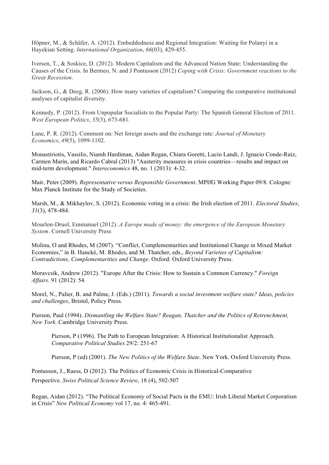Höpner, M., & Schäfer, A. (2012). Embeddedness and Regional Integration: Waiting for Polanyi in a Hayekian Setting. *International Organization*, *66*(03), 429-455.

Iversen, T., & Soskice, D. (2012). Modern Capitalism and the Advanced Nation State: Understanding the Causes of the Crisis. In Bermeo, N. and J Pontusson (2012) *Coping with Crisis: Government reactions to the Great Recession*.

Jackson, G., & Deeg, R. (2006). How many varieties of capitalism? Comparing the comparative institutional analyses of capitalist diversity.

Kennedy, P. (2012). From Unpopular Socialists to the Popular Party: The Spanish General Election of 2011. *West European Politics*, *35*(3), 673-681.

Lane, P. R. (2012). Comment on: Net foreign assets and the exchange rate: *Journal of Monetary Economics*, *49*(5), 1099-1102.

Monastiriotis, Vassilis, Niamh Hardiman, Aidan Regan, Chiara Goretti, Lucio Landi, J. Ignacio Conde-Ruiz, Carmen Marín, and Ricardo Cabral (2013) "Austerity measures in crisis countries—results and impact on mid-term development." *Intereconomics* 48, no. 1 (2013): 4-32.

Mair, Peter (2009). *Representative versus Responsible Government*. MPIfG Working Paper 09/8. Cologne: Max Planck Institute for the Study of Societies.

Marsh, M., & Mikhaylov, S. (2012). Economic voting in a crisis: the Irish election of 2011. *Electoral Studies*, *31*(3), 478-484.

Mourlon-Druol, Emmanuel (2012). *A Europe made of money: the emergence of the European Monetary System*. Cornell University Press

Molina, O and Rhodes, M (2007). "Conflict, Complementarities and Institutional Change in Mixed Market Economies," in B. Hancké, M. Rhodes, and M. Thatcher, eds., *Beyond Varieties of Capitalism: Contradictions, Complementarities and Change*. Oxford: Oxford University Press.

Moravcsik, Andrew (2012). "Europe After the Crisis: How to Sustain a Common Currency." *Foreign Affairs.* 91 (2012): 54.

Morel, N., Palier, B. and Palme, J. (Eds.) (2011). *Towards a social investment welfare state? Ideas, policies and challenges*, Bristol, Policy Press.

Pierson, Paul (1994). *Dismantling the Welfare State? Reagan, Thatcher and the Politics of Retrenchment, New York*. Cambridge University Press.

Pierson, P (1996). The Path to European Integration: A Historical Institutionalist Approach. *Comparative Political Studies* 29/2: 251-67

Pierson, P (ed) (2001). *The New Politics of the Welfare State*. New York. Oxford University Press.

Pontusson, J., Raess, D (2012). The Politics of Economic Crisis in Historical-Comparative Perspective. *Swiss Political Science Review*, 18 (4), 502-507

Regan, Aidan (2012). "The Political Economy of Social Pacts in the EMU: Irish Liberal Market Corporatism in Crisis" *New Political Economy* vol 17, no. 4: 465-491.